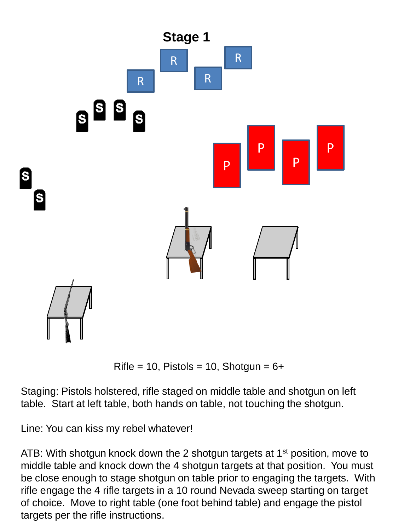

Rifle = 10, Pistols = 10, Shotgun =  $6+$ 

Staging: Pistols holstered, rifle staged on middle table and shotgun on left table. Start at left table, both hands on table, not touching the shotgun.

Line: You can kiss my rebel whatever!

ATB: With shotgun knock down the 2 shotgun targets at 1<sup>st</sup> position, move to middle table and knock down the 4 shotgun targets at that position. You must be close enough to stage shotgun on table prior to engaging the targets. With rifle engage the 4 rifle targets in a 10 round Nevada sweep starting on target of choice. Move to right table (one foot behind table) and engage the pistol targets per the rifle instructions.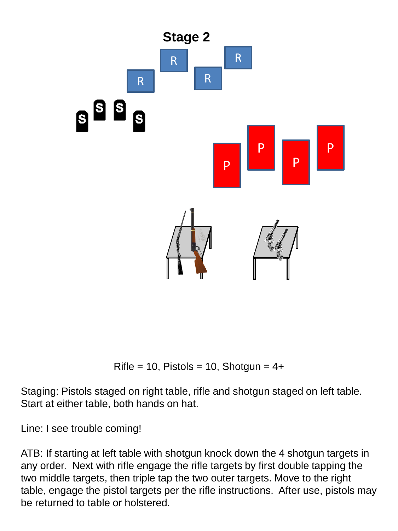

Rifle = 10, Pistols = 10, Shotgun =  $4+$ 

Staging: Pistols staged on right table, rifle and shotgun staged on left table. Start at either table, both hands on hat.

Line: I see trouble coming!

ATB: If starting at left table with shotgun knock down the 4 shotgun targets in any order. Next with rifle engage the rifle targets by first double tapping the two middle targets, then triple tap the two outer targets. Move to the right table, engage the pistol targets per the rifle instructions. After use, pistols may be returned to table or holstered.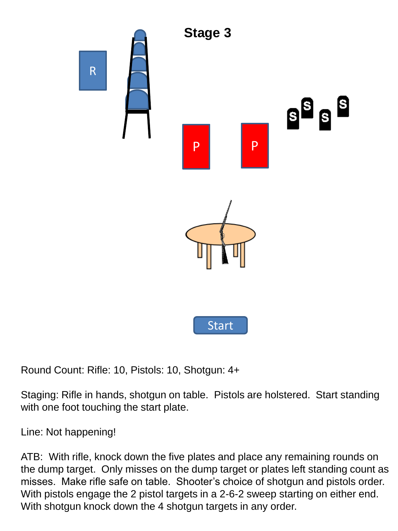

Round Count: Rifle: 10, Pistols: 10, Shotgun: 4+

Staging: Rifle in hands, shotgun on table. Pistols are holstered. Start standing with one foot touching the start plate.

Line: Not happening!

ATB: With rifle, knock down the five plates and place any remaining rounds on the dump target. Only misses on the dump target or plates left standing count as misses. Make rifle safe on table. Shooter's choice of shotgun and pistols order. With pistols engage the 2 pistol targets in a 2-6-2 sweep starting on either end. With shotgun knock down the 4 shotgun targets in any order.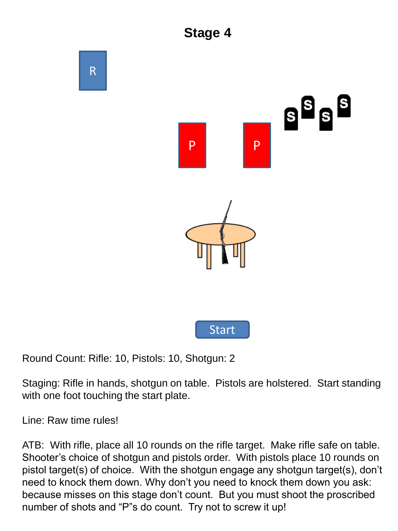

Round Count: Rifle: 10, Pistols: 10, Shotgun: 2

Staging: Rifle in hands, shotgun on table. Pistols are holstered. Start standing with one foot touching the start plate.

Line: Raw time rules!

ATB: With rifle, place all 10 rounds on the rifle target. Make rifle safe on table. Shooter's choice of shotgun and pistols order. With pistols place 10 rounds on pistol target(s) of choice. With the shotgun engage any shotgun target(s), don't need to knock them down. Why don't you need to knock them down you ask: because misses on this stage don't count. But you must shoot the proscribed number of shots and "P"s do count. Try not to screw it up!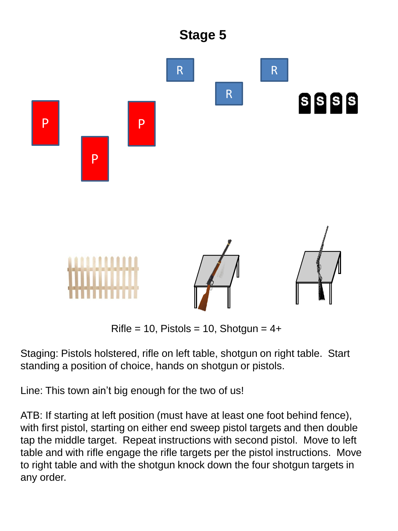

Rifle = 10, Pistols = 10, Shotgun =  $4+$ 

Staging: Pistols holstered, rifle on left table, shotgun on right table. Start standing a position of choice, hands on shotgun or pistols.

Line: This town ain't big enough for the two of us!

ATB: If starting at left position (must have at least one foot behind fence), with first pistol, starting on either end sweep pistol targets and then double tap the middle target. Repeat instructions with second pistol. Move to left table and with rifle engage the rifle targets per the pistol instructions. Move to right table and with the shotgun knock down the four shotgun targets in any order.